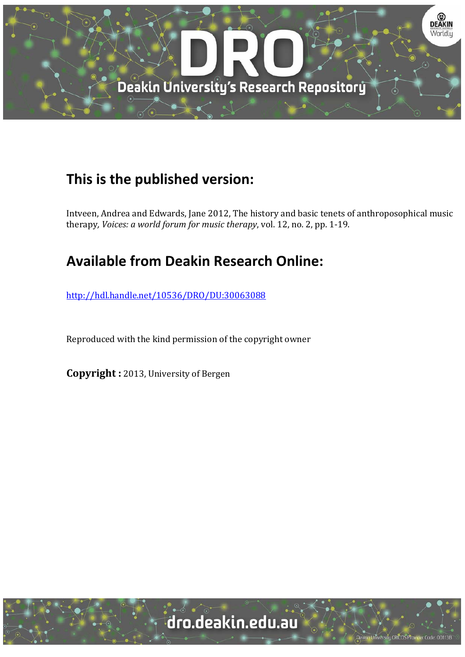

# **This is the published version:**

Intveen, Andrea and Edwards, Jane 2012, The history and basic tenets of anthroposophical music therapy*, Voices: a world forum for music therapy*, vol. 12, no. 2, pp. 1‐19. 

# **Available from Deakin Research Online:**

http://hdl.handle.net/10536/DRO/DU:30063088

Reproduced with the kind permission of the copyright owner

**Copyright** : 2013, University of Bergen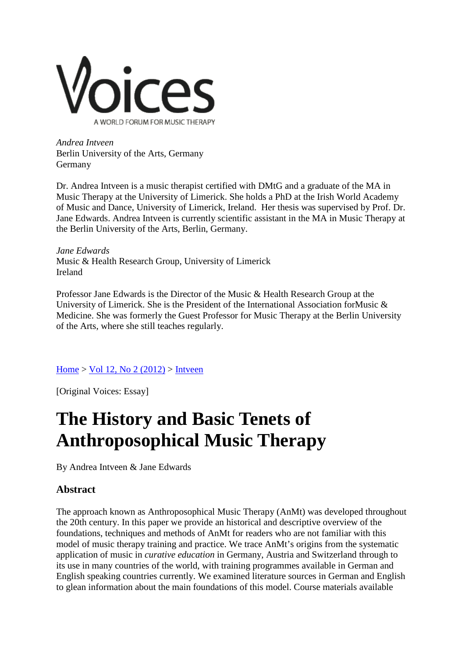

*Andrea Intveen* Berlin University of the Arts, Germany Germany

Dr. Andrea Intveen is a music therapist certified with DMtG and a graduate of the MA in Music Therapy at the University of Limerick. She holds a PhD at the Irish World Academy of Music and Dance, University of Limerick, Ireland. Her thesis was supervised by Prof. Dr. Jane Edwards. Andrea Intveen is currently scientific assistant in the MA in Music Therapy at the Berlin University of the Arts, Berlin, Germany.

*Jane Edwards* Music & Health Research Group, University of Limerick Ireland

Professor Jane Edwards is the Director of the Music & Health Research Group at the University of Limerick. She is the President of the International Association for Music  $\&$ Medicine. She was formerly the Guest Professor for Music Therapy at the Berlin University of the Arts, where she still teaches regularly.

# [Home](https://normt.uib.no/index.php/voices/index) > Vol 12, No  $2(2012)$  > [Intveen](https://normt.uib.no/index.php/voices/article/view/646/548)

[Original Voices: Essay]

# **The History and Basic Tenets of Anthroposophical Music Therapy**

By Andrea Intveen & Jane Edwards

# **Abstract**

The approach known as Anthroposophical Music Therapy (AnMt) was developed throughout the 20th century. In this paper we provide an historical and descriptive overview of the foundations, techniques and methods of AnMt for readers who are not familiar with this model of music therapy training and practice. We trace AnMt's origins from the systematic application of music in *curative education* in Germany, Austria and Switzerland through to its use in many countries of the world, with training programmes available in German and English speaking countries currently. We examined literature sources in German and English to glean information about the main foundations of this model. Course materials available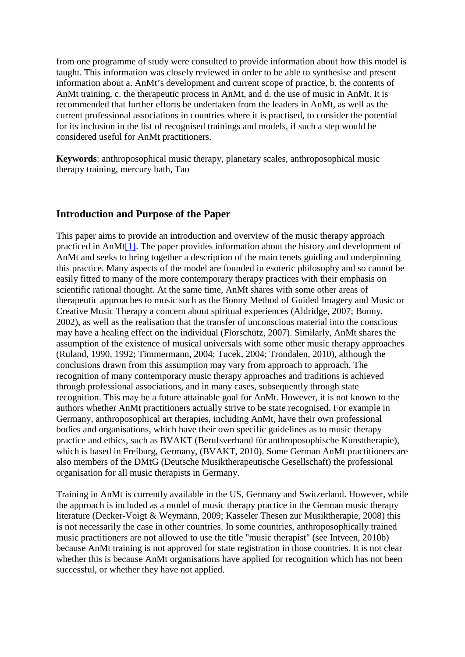from one programme of study were consulted to provide information about how this model is taught. This information was closely reviewed in order to be able to synthesise and present information about a. AnMt's development and current scope of practice, b. the contents of AnMt training, c. the therapeutic process in AnMt, and d. the use of music in AnMt. It is recommended that further efforts be undertaken from the leaders in AnMt, as well as the current professional associations in countries where it is practised, to consider the potential for its inclusion in the list of recognised trainings and models, if such a step would be considered useful for AnMt practitioners.

**Keywords**: anthroposophical music therapy, planetary scales, anthroposophical music therapy training, mercury bath, Tao

#### **Introduction and Purpose of the Paper**

This paper aims to provide an introduction and overview of the music therapy approach practiced in AnM[t\[1\].](https://normt.uib.no/index.php/voices/article/view/646/548%23note1) The paper provides information about the history and development of AnMt and seeks to bring together a description of the main tenets guiding and underpinning this practice. Many aspects of the model are founded in esoteric philosophy and so cannot be easily fitted to many of the more contemporary therapy practices with their emphasis on scientific rational thought. At the same time, AnMt shares with some other areas of therapeutic approaches to music such as the Bonny Method of Guided Imagery and Music or Creative Music Therapy a concern about spiritual experiences (Aldridge, 2007; Bonny, 2002), as well as the realisation that the transfer of unconscious material into the conscious may have a healing effect on the individual (Florschütz, 2007). Similarly, AnMt shares the assumption of the existence of musical universals with some other music therapy approaches (Ruland, 1990, 1992; Timmermann, 2004; Tucek, 2004; Trondalen, 2010), although the conclusions drawn from this assumption may vary from approach to approach. The recognition of many contemporary music therapy approaches and traditions is achieved through professional associations, and in many cases, subsequently through state recognition. This may be a future attainable goal for AnMt. However, it is not known to the authors whether AnMt practitioners actually strive to be state recognised. For example in Germany, anthroposophical art therapies, including AnMt, have their own professional bodies and organisations, which have their own specific guidelines as to music therapy practice and ethics, such as BVAKT (Berufsverband für anthroposophische Kunsttherapie), which is based in Freiburg, Germany, (BVAKT, 2010). Some German AnMt practitioners are also members of the DMtG (Deutsche Musiktherapeutische Gesellschaft) the professional organisation for all music therapists in Germany.

Training in AnMt is currently available in the US, Germany and Switzerland. However, while the approach is included as a model of music therapy practice in the German music therapy literature (Decker-Voigt & Weymann, 2009; Kasseler Thesen zur Musiktherapie, 2008) this is not necessarily the case in other countries. In some countries, anthroposophically trained music practitioners are not allowed to use the title "music therapist" (see Intveen, 2010b) because AnMt training is not approved for state registration in those countries. It is not clear whether this is because AnMt organisations have applied for recognition which has not been successful, or whether they have not applied.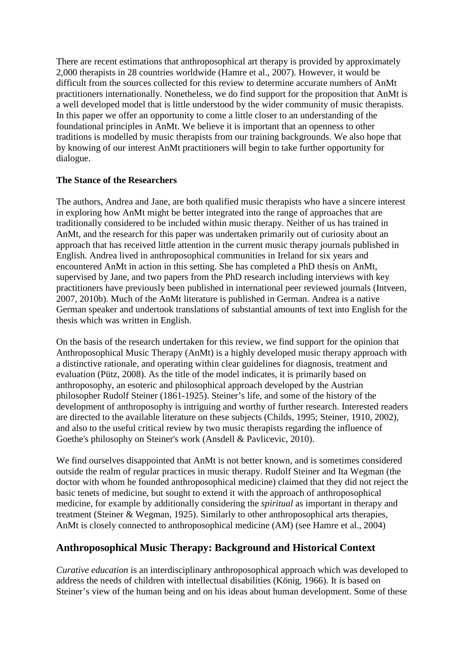There are recent estimations that anthroposophical art therapy is provided by approximately 2,000 therapists in 28 countries worldwide (Hamre et al., 2007). However, it would be difficult from the sources collected for this review to determine accurate numbers of AnMt practitioners internationally. Nonetheless, we do find support for the proposition that AnMt is a well developed model that is little understood by the wider community of music therapists. In this paper we offer an opportunity to come a little closer to an understanding of the foundational principles in AnMt. We believe it is important that an openness to other traditions is modelled by music therapists from our training backgrounds. We also hope that by knowing of our interest AnMt practitioners will begin to take further opportunity for dialogue.

#### **The Stance of the Researchers**

The authors, Andrea and Jane, are both qualified music therapists who have a sincere interest in exploring how AnMt might be better integrated into the range of approaches that are traditionally considered to be included within music therapy. Neither of us has trained in AnMt, and the research for this paper was undertaken primarily out of curiosity about an approach that has received little attention in the current music therapy journals published in English. Andrea lived in anthroposophical communities in Ireland for six years and encountered AnMt in action in this setting. She has completed a PhD thesis on AnMt, supervised by Jane, and two papers from the PhD research including interviews with key practitioners have previously been published in international peer reviewed journals (Intveen, 2007, 2010b). Much of the AnMt literature is published in German. Andrea is a native German speaker and undertook translations of substantial amounts of text into English for the thesis which was written in English.

On the basis of the research undertaken for this review, we find support for the opinion that Anthroposophical Music Therapy (AnMt) is a highly developed music therapy approach with a distinctive rationale, and operating within clear guidelines for diagnosis, treatment and evaluation (Pütz, 2008). As the title of the model indicates, it is primarily based on anthroposophy, an esoteric and philosophical approach developed by the Austrian philosopher Rudolf Steiner (1861-1925). Steiner's life, and some of the history of the development of anthroposophy is intriguing and worthy of further research. Interested readers are directed to the available literature on these subjects (Childs, 1995; Steiner, 1910, 2002), and also to the useful critical review by two music therapists regarding the influence of Goethe's philosophy on Steiner's work (Ansdell & Pavlicevic, 2010).

We find ourselves disappointed that AnMt is not better known, and is sometimes considered outside the realm of regular practices in music therapy. Rudolf Steiner and Ita Wegman (the doctor with whom he founded anthroposophical medicine) claimed that they did not reject the basic tenets of medicine, but sought to extend it with the approach of anthroposophical medicine, for example by additionally considering the *spiritual* as important in therapy and treatment (Steiner & Wegman, 1925). Similarly to other anthroposophical arts therapies, AnMt is closely connected to anthroposophical medicine (AM) (see Hamre et al., 2004)

# **Anthroposophical Music Therapy: Background and Historical Context**

*Curative education* is an interdisciplinary anthroposophical approach which was developed to address the needs of children with intellectual disabilities (König, 1966). It is based on Steiner's view of the human being and on his ideas about human development. Some of these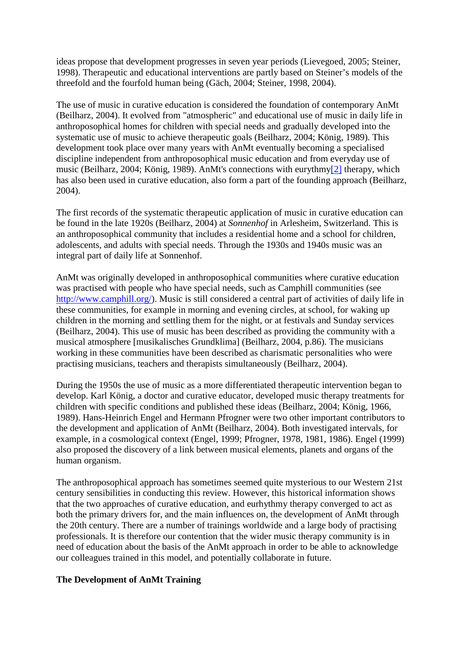ideas propose that development progresses in seven year periods (Lievegoed, 2005; Steiner, 1998). Therapeutic and educational interventions are partly based on Steiner's models of the threefold and the fourfold human being (Gäch, 2004; Steiner, 1998, 2004).

The use of music in curative education is considered the foundation of contemporary AnMt (Beilharz, 2004). It evolved from "atmospheric" and educational use of music in daily life in anthroposophical homes for children with special needs and gradually developed into the systematic use of music to achieve therapeutic goals (Beilharz, 2004; König, 1989). This development took place over many years with AnMt eventually becoming a specialised discipline independent from anthroposophical music education and from everyday use of music (Beilharz, 2004; König, 1989). AnMt's connections with eurythm[y\[2\]](https://normt.uib.no/index.php/voices/article/view/646/548%23note2) therapy, which has also been used in curative education, also form a part of the founding approach (Beilharz, 2004).

The first records of the systematic therapeutic application of music in curative education can be found in the late 1920s (Beilharz, 2004) at *Sonnenhof* in Arlesheim, Switzerland. This is an anthroposophical community that includes a residential home and a school for children, adolescents, and adults with special needs. Through the 1930s and 1940s music was an integral part of daily life at Sonnenhof.

AnMt was originally developed in anthroposophical communities where curative education was practised with people who have special needs, such as Camphill communities (see [http://www.camphill.org/\)](http://www.camphill.org/). Music is still considered a central part of activities of daily life in these communities, for example in morning and evening circles, at school, for waking up children in the morning and settling them for the night, or at festivals and Sunday services (Beilharz, 2004). This use of music has been described as providing the community with a musical atmosphere [musikalisches Grundklima] (Beilharz, 2004, p.86). The musicians working in these communities have been described as charismatic personalities who were practising musicians, teachers and therapists simultaneously (Beilharz, 2004).

During the 1950s the use of music as a more differentiated therapeutic intervention began to develop. Karl König, a doctor and curative educator, developed music therapy treatments for children with specific conditions and published these ideas (Beilharz, 2004; König, 1966, 1989). Hans-Heinrich Engel and Hermann Pfrogner were two other important contributors to the development and application of AnMt (Beilharz, 2004). Both investigated intervals, for example, in a cosmological context (Engel, 1999; Pfrogner, 1978, 1981, 1986). Engel (1999) also proposed the discovery of a link between musical elements, planets and organs of the human organism.

The anthroposophical approach has sometimes seemed quite mysterious to our Western 21st century sensibilities in conducting this review. However, this historical information shows that the two approaches of curative education, and eurhythmy therapy converged to act as both the primary drivers for, and the main influences on, the development of AnMt through the 20th century. There are a number of trainings worldwide and a large body of practising professionals. It is therefore our contention that the wider music therapy community is in need of education about the basis of the AnMt approach in order to be able to acknowledge our colleagues trained in this model, and potentially collaborate in future.

#### **The Development of AnMt Training**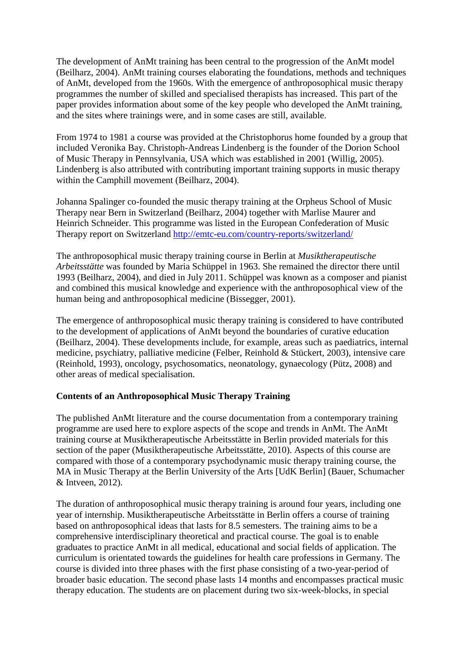The development of AnMt training has been central to the progression of the AnMt model (Beilharz, 2004). AnMt training courses elaborating the foundations, methods and techniques of AnMt, developed from the 1960s. With the emergence of anthroposophical music therapy programmes the number of skilled and specialised therapists has increased. This part of the paper provides information about some of the key people who developed the AnMt training, and the sites where trainings were, and in some cases are still, available.

From 1974 to 1981 a course was provided at the Christophorus home founded by a group that included Veronika Bay. Christoph-Andreas Lindenberg is the founder of the Dorion School of Music Therapy in Pennsylvania, USA which was established in 2001 (Willig, 2005). Lindenberg is also attributed with contributing important training supports in music therapy within the Camphill movement (Beilharz, 2004).

Johanna Spalinger co-founded the music therapy training at the Orpheus School of Music Therapy near Bern in Switzerland (Beilharz, 2004) together with Marlise Maurer and Heinrich Schneider. This programme was listed in the European Confederation of Music Therapy report on Switzerland<http://emtc-eu.com/country-reports/switzerland/>

The anthroposophical music therapy training course in Berlin at *Musiktherapeutische Arbeitsstätte* was founded by Maria Schüppel in 1963. She remained the director there until 1993 (Beilharz, 2004), and died in July 2011. Schüppel was known as a composer and pianist and combined this musical knowledge and experience with the anthroposophical view of the human being and anthroposophical medicine (Bissegger, 2001).

The emergence of anthroposophical music therapy training is considered to have contributed to the development of applications of AnMt beyond the boundaries of curative education (Beilharz, 2004). These developments include, for example, areas such as paediatrics, internal medicine, psychiatry, palliative medicine (Felber, Reinhold & Stückert, 2003), intensive care (Reinhold, 1993), oncology, psychosomatics, neonatology, gynaecology (Pütz, 2008) and other areas of medical specialisation.

#### **Contents of an Anthroposophical Music Therapy Training**

The published AnMt literature and the course documentation from a contemporary training programme are used here to explore aspects of the scope and trends in AnMt. The AnMt training course at Musiktherapeutische Arbeitsstätte in Berlin provided materials for this section of the paper (Musiktherapeutische Arbeitsstätte, 2010). Aspects of this course are compared with those of a contemporary psychodynamic music therapy training course, the MA in Music Therapy at the Berlin University of the Arts [UdK Berlin] (Bauer, Schumacher & Intveen, 2012).

The duration of anthroposophical music therapy training is around four years, including one year of internship. Musiktherapeutische Arbeitsstätte in Berlin offers a course of training based on anthroposophical ideas that lasts for 8.5 semesters. The training aims to be a comprehensive interdisciplinary theoretical and practical course. The goal is to enable graduates to practice AnMt in all medical, educational and social fields of application. The curriculum is orientated towards the guidelines for health care professions in Germany. The course is divided into three phases with the first phase consisting of a two-year-period of broader basic education. The second phase lasts 14 months and encompasses practical music therapy education. The students are on placement during two six-week-blocks, in special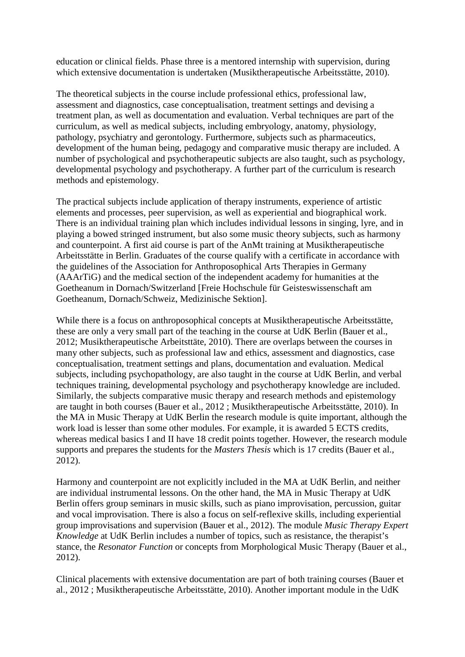education or clinical fields. Phase three is a mentored internship with supervision, during which extensive documentation is undertaken (Musiktherapeutische Arbeitsstätte, 2010).

The theoretical subjects in the course include professional ethics, professional law, assessment and diagnostics, case conceptualisation, treatment settings and devising a treatment plan, as well as documentation and evaluation. Verbal techniques are part of the curriculum, as well as medical subjects, including embryology, anatomy, physiology, pathology, psychiatry and gerontology. Furthermore, subjects such as pharmaceutics, development of the human being, pedagogy and comparative music therapy are included. A number of psychological and psychotherapeutic subjects are also taught, such as psychology, developmental psychology and psychotherapy. A further part of the curriculum is research methods and epistemology.

The practical subjects include application of therapy instruments, experience of artistic elements and processes, peer supervision, as well as experiential and biographical work. There is an individual training plan which includes individual lessons in singing, lyre, and in playing a bowed stringed instrument, but also some music theory subjects, such as harmony and counterpoint. A first aid course is part of the AnMt training at Musiktherapeutische Arbeitsstätte in Berlin. Graduates of the course qualify with a certificate in accordance with the guidelines of the Association for Anthroposophical Arts Therapies in Germany (AAArTiG) and the medical section of the independent academy for humanities at the Goetheanum in Dornach/Switzerland [Freie Hochschule für Geisteswissenschaft am Goetheanum, Dornach/Schweiz, Medizinische Sektion].

While there is a focus on anthroposophical concepts at Musiktherapeutische Arbeitsstätte, these are only a very small part of the teaching in the course at UdK Berlin (Bauer et al., 2012; Musiktherapeutische Arbeitsttäte, 2010). There are overlaps between the courses in many other subjects, such as professional law and ethics, assessment and diagnostics, case conceptualisation, treatment settings and plans, documentation and evaluation. Medical subjects, including psychopathology, are also taught in the course at UdK Berlin, and verbal techniques training, developmental psychology and psychotherapy knowledge are included. Similarly, the subjects comparative music therapy and research methods and epistemology are taught in both courses (Bauer et al., 2012 ; Musiktherapeutische Arbeitsstätte, 2010). In the MA in Music Therapy at UdK Berlin the research module is quite important, although the work load is lesser than some other modules. For example, it is awarded 5 ECTS credits, whereas medical basics I and II have 18 credit points together. However, the research module supports and prepares the students for the *Masters Thesis* which is 17 credits (Bauer et al., 2012).

Harmony and counterpoint are not explicitly included in the MA at UdK Berlin, and neither are individual instrumental lessons. On the other hand, the MA in Music Therapy at UdK Berlin offers group seminars in music skills, such as piano improvisation, percussion, guitar and vocal improvisation. There is also a focus on self-reflexive skills, including experiential group improvisations and supervision (Bauer et al., 2012). The module *Music Therapy Expert Knowledge* at UdK Berlin includes a number of topics, such as resistance, the therapist's stance, the *Resonator Function* or concepts from Morphological Music Therapy (Bauer et al., 2012).

Clinical placements with extensive documentation are part of both training courses (Bauer et al., 2012 ; Musiktherapeutische Arbeitsstätte, 2010). Another important module in the UdK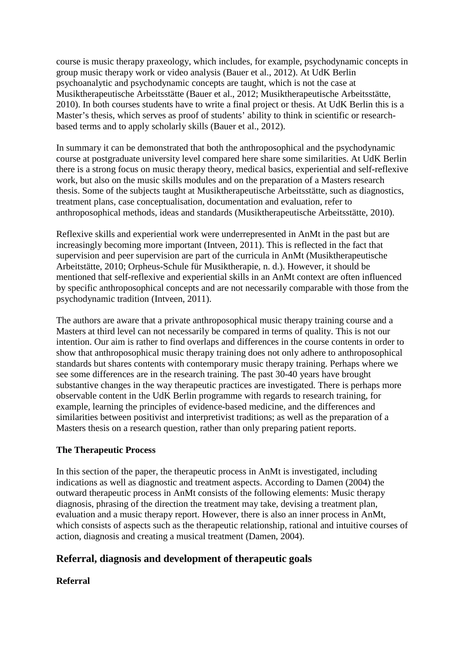course is music therapy praxeology, which includes, for example, psychodynamic concepts in group music therapy work or video analysis (Bauer et al., 2012). At UdK Berlin psychoanalytic and psychodynamic concepts are taught, which is not the case at Musiktherapeutische Arbeitsstätte (Bauer et al., 2012; Musiktherapeutische Arbeitsstätte, 2010). In both courses students have to write a final project or thesis. At UdK Berlin this is a Master's thesis, which serves as proof of students' ability to think in scientific or researchbased terms and to apply scholarly skills (Bauer et al., 2012).

In summary it can be demonstrated that both the anthroposophical and the psychodynamic course at postgraduate university level compared here share some similarities. At UdK Berlin there is a strong focus on music therapy theory, medical basics, experiential and self-reflexive work, but also on the music skills modules and on the preparation of a Masters research thesis. Some of the subjects taught at Musiktherapeutische Arbeitsstätte, such as diagnostics, treatment plans, case conceptualisation, documentation and evaluation, refer to anthroposophical methods, ideas and standards (Musiktherapeutische Arbeitsstätte, 2010).

Reflexive skills and experiential work were underrepresented in AnMt in the past but are increasingly becoming more important (Intveen, 2011). This is reflected in the fact that supervision and peer supervision are part of the curricula in AnMt (Musiktherapeutische Arbeitstätte, 2010; Orpheus-Schule für Musiktherapie, n. d.). However, it should be mentioned that self-reflexive and experiential skills in an AnMt context are often influenced by specific anthroposophical concepts and are not necessarily comparable with those from the psychodynamic tradition (Intveen, 2011).

The authors are aware that a private anthroposophical music therapy training course and a Masters at third level can not necessarily be compared in terms of quality. This is not our intention. Our aim is rather to find overlaps and differences in the course contents in order to show that anthroposophical music therapy training does not only adhere to anthroposophical standards but shares contents with contemporary music therapy training. Perhaps where we see some differences are in the research training. The past 30-40 years have brought substantive changes in the way therapeutic practices are investigated. There is perhaps more observable content in the UdK Berlin programme with regards to research training, for example, learning the principles of evidence-based medicine, and the differences and similarities between positivist and interpretivist traditions; as well as the preparation of a Masters thesis on a research question, rather than only preparing patient reports.

#### **The Therapeutic Process**

In this section of the paper, the therapeutic process in AnMt is investigated, including indications as well as diagnostic and treatment aspects. According to Damen (2004) the outward therapeutic process in AnMt consists of the following elements: Music therapy diagnosis, phrasing of the direction the treatment may take, devising a treatment plan, evaluation and a music therapy report. However, there is also an inner process in AnMt, which consists of aspects such as the therapeutic relationship, rational and intuitive courses of action, diagnosis and creating a musical treatment (Damen, 2004).

# **Referral, diagnosis and development of therapeutic goals**

# **Referral**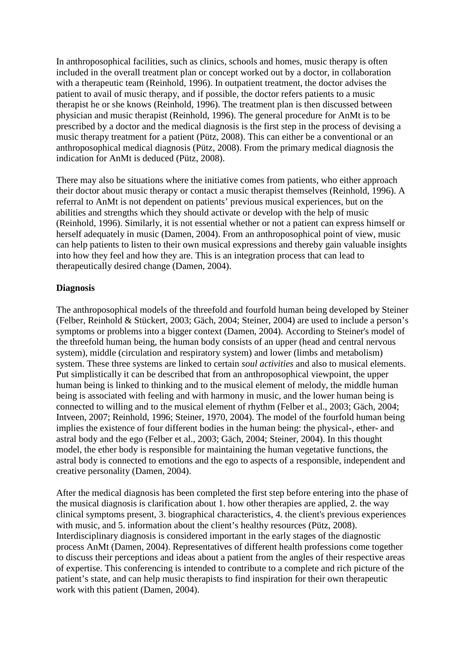In anthroposophical facilities, such as clinics, schools and homes, music therapy is often included in the overall treatment plan or concept worked out by a doctor, in collaboration with a therapeutic team (Reinhold, 1996). In outpatient treatment, the doctor advises the patient to avail of music therapy, and if possible, the doctor refers patients to a music therapist he or she knows (Reinhold, 1996). The treatment plan is then discussed between physician and music therapist (Reinhold, 1996). The general procedure for AnMt is to be prescribed by a doctor and the medical diagnosis is the first step in the process of devising a music therapy treatment for a patient (Pütz, 2008). This can either be a conventional or an anthroposophical medical diagnosis (Pütz, 2008). From the primary medical diagnosis the indication for AnMt is deduced (Pütz, 2008).

There may also be situations where the initiative comes from patients, who either approach their doctor about music therapy or contact a music therapist themselves (Reinhold, 1996). A referral to AnMt is not dependent on patients' previous musical experiences, but on the abilities and strengths which they should activate or develop with the help of music (Reinhold, 1996). Similarly, it is not essential whether or not a patient can express himself or herself adequately in music (Damen, 2004). From an anthroposophical point of view, music can help patients to listen to their own musical expressions and thereby gain valuable insights into how they feel and how they are. This is an integration process that can lead to therapeutically desired change (Damen, 2004).

#### **Diagnosis**

The anthroposophical models of the threefold and fourfold human being developed by Steiner (Felber, Reinhold & Stückert, 2003; Gäch, 2004; Steiner, 2004) are used to include a person's symptoms or problems into a bigger context (Damen, 2004). According to Steiner's model of the threefold human being, the human body consists of an upper (head and central nervous system), middle (circulation and respiratory system) and lower (limbs and metabolism) system. These three systems are linked to certain *soul activities* and also to musical elements. Put simplistically it can be described that from an anthroposophical viewpoint, the upper human being is linked to thinking and to the musical element of melody, the middle human being is associated with feeling and with harmony in music, and the lower human being is connected to willing and to the musical element of rhythm (Felber et al., 2003; Gäch, 2004; Intveen, 2007; Reinhold, 1996; Steiner, 1970, 2004). The model of the fourfold human being implies the existence of four different bodies in the human being: the physical-, ether- and astral body and the ego (Felber et al., 2003; Gäch, 2004; Steiner, 2004). In this thought model, the ether body is responsible for maintaining the human vegetative functions, the astral body is connected to emotions and the ego to aspects of a responsible, independent and creative personality (Damen, 2004).

After the medical diagnosis has been completed the first step before entering into the phase of the musical diagnosis is clarification about 1. how other therapies are applied, 2. the way clinical symptoms present, 3. biographical characteristics, 4. the client's previous experiences with music, and 5. information about the client's healthy resources (Pütz, 2008). Interdisciplinary diagnosis is considered important in the early stages of the diagnostic process AnMt (Damen, 2004). Representatives of different health professions come together to discuss their perceptions and ideas about a patient from the angles of their respective areas of expertise. This conferencing is intended to contribute to a complete and rich picture of the patient's state, and can help music therapists to find inspiration for their own therapeutic work with this patient (Damen, 2004).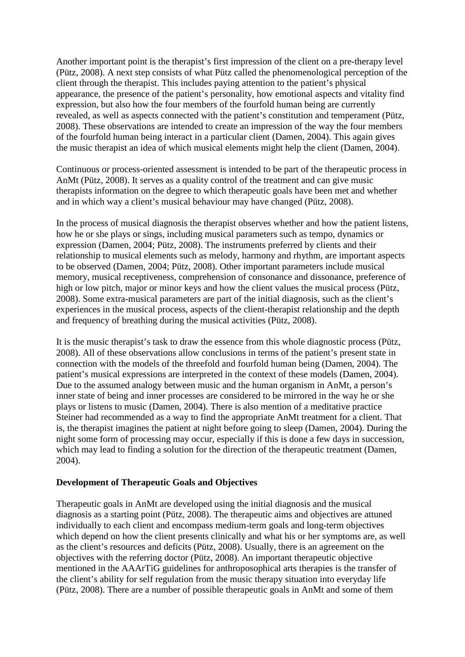Another important point is the therapist's first impression of the client on a pre-therapy level (Pütz, 2008). A next step consists of what Pütz called the phenomenological perception of the client through the therapist. This includes paying attention to the patient's physical appearance, the presence of the patient's personality, how emotional aspects and vitality find expression, but also how the four members of the fourfold human being are currently revealed, as well as aspects connected with the patient's constitution and temperament (Pütz, 2008). These observations are intended to create an impression of the way the four members of the fourfold human being interact in a particular client (Damen, 2004). This again gives the music therapist an idea of which musical elements might help the client (Damen, 2004).

Continuous or process-oriented assessment is intended to be part of the therapeutic process in AnMt (Pütz, 2008). It serves as a quality control of the treatment and can give music therapists information on the degree to which therapeutic goals have been met and whether and in which way a client's musical behaviour may have changed (Pütz, 2008).

In the process of musical diagnosis the therapist observes whether and how the patient listens, how he or she plays or sings, including musical parameters such as tempo, dynamics or expression (Damen, 2004; Pütz, 2008). The instruments preferred by clients and their relationship to musical elements such as melody, harmony and rhythm, are important aspects to be observed (Damen, 2004; Pütz, 2008). Other important parameters include musical memory, musical receptiveness, comprehension of consonance and dissonance, preference of high or low pitch, major or minor keys and how the client values the musical process (Pütz, 2008). Some extra-musical parameters are part of the initial diagnosis, such as the client's experiences in the musical process, aspects of the client-therapist relationship and the depth and frequency of breathing during the musical activities (Pütz, 2008).

It is the music therapist's task to draw the essence from this whole diagnostic process (Pütz, 2008). All of these observations allow conclusions in terms of the patient's present state in connection with the models of the threefold and fourfold human being (Damen, 2004). The patient's musical expressions are interpreted in the context of these models (Damen, 2004). Due to the assumed analogy between music and the human organism in AnMt, a person's inner state of being and inner processes are considered to be mirrored in the way he or she plays or listens to music (Damen, 2004). There is also mention of a meditative practice Steiner had recommended as a way to find the appropriate AnMt treatment for a client. That is, the therapist imagines the patient at night before going to sleep (Damen, 2004). During the night some form of processing may occur, especially if this is done a few days in succession, which may lead to finding a solution for the direction of the therapeutic treatment (Damen, 2004).

#### **Development of Therapeutic Goals and Objectives**

Therapeutic goals in AnMt are developed using the initial diagnosis and the musical diagnosis as a starting point (Pütz, 2008). The therapeutic aims and objectives are attuned individually to each client and encompass medium-term goals and long-term objectives which depend on how the client presents clinically and what his or her symptoms are, as well as the client's resources and deficits (Pütz, 2008). Usually, there is an agreement on the objectives with the referring doctor (Pütz, 2008). An important therapeutic objective mentioned in the AAArTiG guidelines for anthroposophical arts therapies is the transfer of the client's ability for self regulation from the music therapy situation into everyday life (Pütz, 2008). There are a number of possible therapeutic goals in AnMt and some of them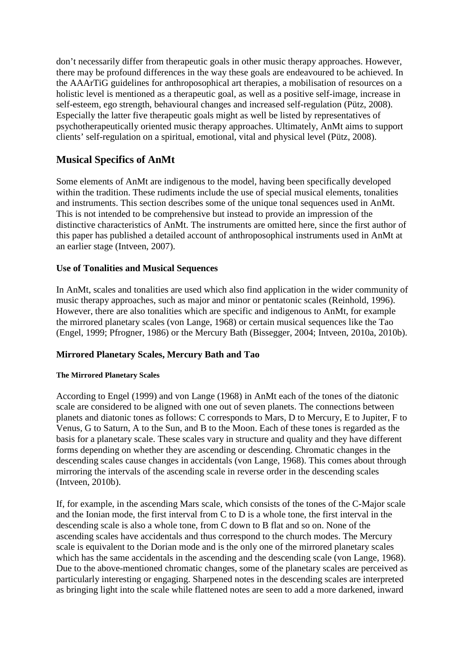don't necessarily differ from therapeutic goals in other music therapy approaches. However, there may be profound differences in the way these goals are endeavoured to be achieved. In the AAArTiG guidelines for anthroposophical art therapies, a mobilisation of resources on a holistic level is mentioned as a therapeutic goal, as well as a positive self-image, increase in self-esteem, ego strength, behavioural changes and increased self-regulation (Pütz, 2008). Especially the latter five therapeutic goals might as well be listed by representatives of psychotherapeutically oriented music therapy approaches. Ultimately, AnMt aims to support clients' self-regulation on a spiritual, emotional, vital and physical level (Pütz, 2008).

# **Musical Specifics of AnMt**

Some elements of AnMt are indigenous to the model, having been specifically developed within the tradition. These rudiments include the use of special musical elements, tonalities and instruments. This section describes some of the unique tonal sequences used in AnMt. This is not intended to be comprehensive but instead to provide an impression of the distinctive characteristics of AnMt. The instruments are omitted here, since the first author of this paper has published a detailed account of anthroposophical instruments used in AnMt at an earlier stage (Intveen, 2007).

#### **Use of Tonalities and Musical Sequences**

In AnMt, scales and tonalities are used which also find application in the wider community of music therapy approaches, such as major and minor or pentatonic scales (Reinhold, 1996). However, there are also tonalities which are specific and indigenous to AnMt, for example the mirrored planetary scales (von Lange, 1968) or certain musical sequences like the Tao (Engel, 1999; Pfrogner, 1986) or the Mercury Bath (Bissegger, 2004; Intveen, 2010a, 2010b).

#### **Mirrored Planetary Scales, Mercury Bath and Tao**

#### **The Mirrored Planetary Scales**

According to Engel (1999) and von Lange (1968) in AnMt each of the tones of the diatonic scale are considered to be aligned with one out of seven planets. The connections between planets and diatonic tones as follows: C corresponds to Mars, D to Mercury, E to Jupiter, F to Venus, G to Saturn, A to the Sun, and B to the Moon. Each of these tones is regarded as the basis for a planetary scale. These scales vary in structure and quality and they have different forms depending on whether they are ascending or descending. Chromatic changes in the descending scales cause changes in accidentals (von Lange, 1968). This comes about through mirroring the intervals of the ascending scale in reverse order in the descending scales (Intveen, 2010b).

If, for example, in the ascending Mars scale, which consists of the tones of the C-Major scale and the Ionian mode, the first interval from C to D is a whole tone, the first interval in the descending scale is also a whole tone, from C down to B flat and so on. None of the ascending scales have accidentals and thus correspond to the church modes. The Mercury scale is equivalent to the Dorian mode and is the only one of the mirrored planetary scales which has the same accidentals in the ascending and the descending scale (von Lange, 1968). Due to the above-mentioned chromatic changes, some of the planetary scales are perceived as particularly interesting or engaging. Sharpened notes in the descending scales are interpreted as bringing light into the scale while flattened notes are seen to add a more darkened, inward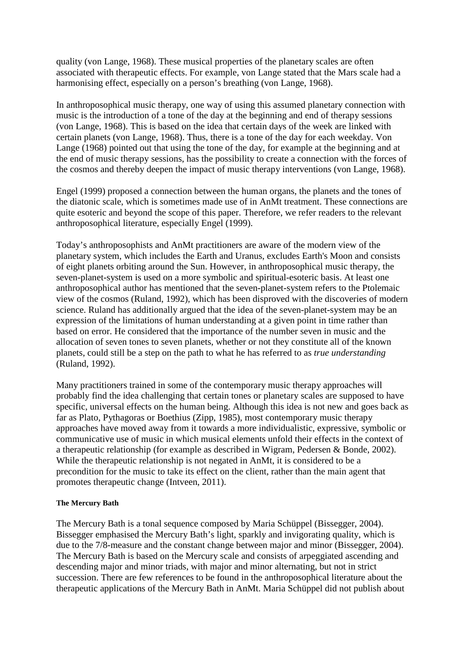quality (von Lange, 1968). These musical properties of the planetary scales are often associated with therapeutic effects. For example, von Lange stated that the Mars scale had a harmonising effect, especially on a person's breathing (von Lange, 1968).

In anthroposophical music therapy, one way of using this assumed planetary connection with music is the introduction of a tone of the day at the beginning and end of therapy sessions (von Lange, 1968). This is based on the idea that certain days of the week are linked with certain planets (von Lange, 1968). Thus, there is a tone of the day for each weekday. Von Lange (1968) pointed out that using the tone of the day, for example at the beginning and at the end of music therapy sessions, has the possibility to create a connection with the forces of the cosmos and thereby deepen the impact of music therapy interventions (von Lange, 1968).

Engel (1999) proposed a connection between the human organs, the planets and the tones of the diatonic scale, which is sometimes made use of in AnMt treatment. These connections are quite esoteric and beyond the scope of this paper. Therefore, we refer readers to the relevant anthroposophical literature, especially Engel (1999).

Today's anthroposophists and AnMt practitioners are aware of the modern view of the planetary system, which includes the Earth and Uranus, excludes Earth's Moon and consists of eight planets orbiting around the Sun. However, in anthroposophical music therapy, the seven-planet-system is used on a more symbolic and spiritual-esoteric basis. At least one anthroposophical author has mentioned that the seven-planet-system refers to the Ptolemaic view of the cosmos (Ruland, 1992), which has been disproved with the discoveries of modern science. Ruland has additionally argued that the idea of the seven-planet-system may be an expression of the limitations of human understanding at a given point in time rather than based on error. He considered that the importance of the number seven in music and the allocation of seven tones to seven planets, whether or not they constitute all of the known planets, could still be a step on the path to what he has referred to as *true understanding* (Ruland, 1992).

Many practitioners trained in some of the contemporary music therapy approaches will probably find the idea challenging that certain tones or planetary scales are supposed to have specific, universal effects on the human being. Although this idea is not new and goes back as far as Plato, Pythagoras or Boethius (Zipp, 1985), most contemporary music therapy approaches have moved away from it towards a more individualistic, expressive, symbolic or communicative use of music in which musical elements unfold their effects in the context of a therapeutic relationship (for example as described in Wigram, Pedersen & Bonde, 2002). While the therapeutic relationship is not negated in AnMt, it is considered to be a precondition for the music to take its effect on the client, rather than the main agent that promotes therapeutic change (Intveen, 2011).

#### **The Mercury Bath**

The Mercury Bath is a tonal sequence composed by Maria Schüppel (Bissegger, 2004). Bissegger emphasised the Mercury Bath's light, sparkly and invigorating quality, which is due to the 7/8-measure and the constant change between major and minor (Bissegger, 2004). The Mercury Bath is based on the Mercury scale and consists of arpeggiated ascending and descending major and minor triads, with major and minor alternating, but not in strict succession. There are few references to be found in the anthroposophical literature about the therapeutic applications of the Mercury Bath in AnMt. Maria Schüppel did not publish about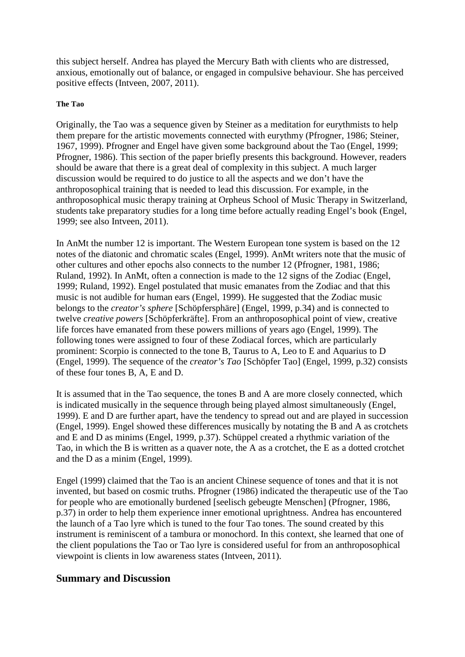this subject herself. Andrea has played the Mercury Bath with clients who are distressed, anxious, emotionally out of balance, or engaged in compulsive behaviour. She has perceived positive effects (Intveen, 2007, 2011).

#### **The Tao**

Originally, the Tao was a sequence given by Steiner as a meditation for eurythmists to help them prepare for the artistic movements connected with eurythmy (Pfrogner, 1986; Steiner, 1967, 1999). Pfrogner and Engel have given some background about the Tao (Engel, 1999; Pfrogner, 1986). This section of the paper briefly presents this background. However, readers should be aware that there is a great deal of complexity in this subject. A much larger discussion would be required to do justice to all the aspects and we don't have the anthroposophical training that is needed to lead this discussion. For example, in the anthroposophical music therapy training at Orpheus School of Music Therapy in Switzerland, students take preparatory studies for a long time before actually reading Engel's book (Engel, 1999; see also Intveen, 2011).

In AnMt the number 12 is important. The Western European tone system is based on the 12 notes of the diatonic and chromatic scales (Engel, 1999). AnMt writers note that the music of other cultures and other epochs also connects to the number 12 (Pfrogner, 1981, 1986; Ruland, 1992). In AnMt, often a connection is made to the 12 signs of the Zodiac (Engel, 1999; Ruland, 1992). Engel postulated that music emanates from the Zodiac and that this music is not audible for human ears (Engel, 1999). He suggested that the Zodiac music belongs to the *creator's sphere* [Schöpfersphäre] (Engel, 1999, p.34) and is connected to twelve *creative powers* [Schöpferkräfte]. From an anthroposophical point of view, creative life forces have emanated from these powers millions of years ago (Engel, 1999). The following tones were assigned to four of these Zodiacal forces, which are particularly prominent: Scorpio is connected to the tone B, Taurus to A, Leo to E and Aquarius to D (Engel, 1999). The sequence of the *creator's Tao* [Schöpfer Tao] (Engel, 1999, p.32) consists of these four tones B, A, E and D.

It is assumed that in the Tao sequence, the tones B and A are more closely connected, which is indicated musically in the sequence through being played almost simultaneously (Engel, 1999). E and D are further apart, have the tendency to spread out and are played in succession (Engel, 1999). Engel showed these differences musically by notating the B and A as crotchets and E and D as minims (Engel, 1999, p.37). Schüppel created a rhythmic variation of the Tao, in which the B is written as a quaver note, the A as a crotchet, the E as a dotted crotchet and the D as a minim (Engel, 1999).

Engel (1999) claimed that the Tao is an ancient Chinese sequence of tones and that it is not invented, but based on cosmic truths. Pfrogner (1986) indicated the therapeutic use of the Tao for people who are emotionally burdened [seelisch gebeugte Menschen] (Pfrogner, 1986, p.37) in order to help them experience inner emotional uprightness. Andrea has encountered the launch of a Tao lyre which is tuned to the four Tao tones. The sound created by this instrument is reminiscent of a tambura or monochord. In this context, she learned that one of the client populations the Tao or Tao lyre is considered useful for from an anthroposophical viewpoint is clients in low awareness states (Intveen, 2011).

#### **Summary and Discussion**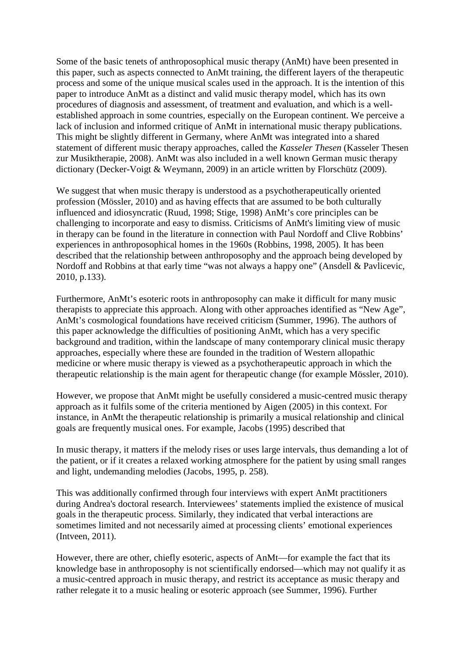Some of the basic tenets of anthroposophical music therapy (AnMt) have been presented in this paper, such as aspects connected to AnMt training, the different layers of the therapeutic process and some of the unique musical scales used in the approach. It is the intention of this paper to introduce AnMt as a distinct and valid music therapy model, which has its own procedures of diagnosis and assessment, of treatment and evaluation, and which is a wellestablished approach in some countries, especially on the European continent. We perceive a lack of inclusion and informed critique of AnMt in international music therapy publications. This might be slightly different in Germany, where AnMt was integrated into a shared statement of different music therapy approaches, called the *Kasseler Thesen* (Kasseler Thesen zur Musiktherapie, 2008). AnMt was also included in a well known German music therapy dictionary (Decker-Voigt & Weymann, 2009) in an article written by Florschütz (2009).

We suggest that when music therapy is understood as a psychotherapeutically oriented profession (Mössler, 2010) and as having effects that are assumed to be both culturally influenced and idiosyncratic (Ruud, 1998; Stige, 1998) AnMt's core principles can be challenging to incorporate and easy to dismiss. Criticisms of AnMt's limiting view of music in therapy can be found in the literature in connection with Paul Nordoff and Clive Robbins' experiences in anthroposophical homes in the 1960s (Robbins, 1998, 2005). It has been described that the relationship between anthroposophy and the approach being developed by Nordoff and Robbins at that early time "was not always a happy one" (Ansdell & Pavlicevic, 2010, p.133).

Furthermore, AnMt's esoteric roots in anthroposophy can make it difficult for many music therapists to appreciate this approach. Along with other approaches identified as "New Age", AnMt's cosmological foundations have received criticism (Summer, 1996). The authors of this paper acknowledge the difficulties of positioning AnMt, which has a very specific background and tradition, within the landscape of many contemporary clinical music therapy approaches, especially where these are founded in the tradition of Western allopathic medicine or where music therapy is viewed as a psychotherapeutic approach in which the therapeutic relationship is the main agent for therapeutic change (for example Mössler, 2010).

However, we propose that AnMt might be usefully considered a music-centred music therapy approach as it fulfils some of the criteria mentioned by Aigen (2005) in this context. For instance, in AnMt the therapeutic relationship is primarily a musical relationship and clinical goals are frequently musical ones. For example, Jacobs (1995) described that

In music therapy, it matters if the melody rises or uses large intervals, thus demanding a lot of the patient, or if it creates a relaxed working atmosphere for the patient by using small ranges and light, undemanding melodies (Jacobs, 1995, p. 258).

This was additionally confirmed through four interviews with expert AnMt practitioners during Andrea's doctoral research. Interviewees' statements implied the existence of musical goals in the therapeutic process. Similarly, they indicated that verbal interactions are sometimes limited and not necessarily aimed at processing clients' emotional experiences (Intveen, 2011).

However, there are other, chiefly esoteric, aspects of AnMt—for example the fact that its knowledge base in anthroposophy is not scientifically endorsed—which may not qualify it as a music-centred approach in music therapy, and restrict its acceptance as music therapy and rather relegate it to a music healing or esoteric approach (see Summer, 1996). Further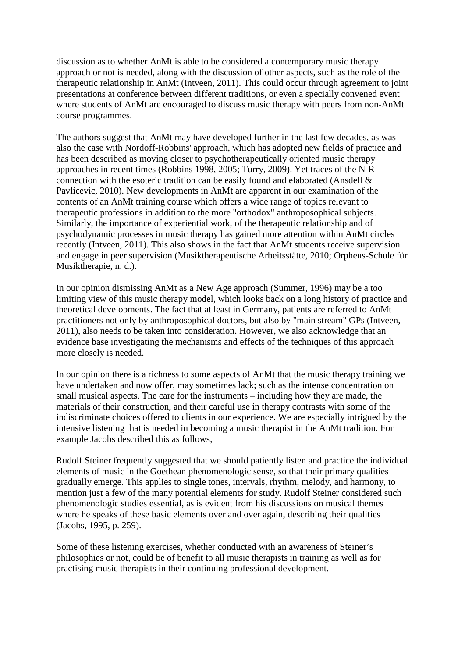discussion as to whether AnMt is able to be considered a contemporary music therapy approach or not is needed, along with the discussion of other aspects, such as the role of the therapeutic relationship in AnMt (Intveen, 2011). This could occur through agreement to joint presentations at conference between different traditions, or even a specially convened event where students of AnMt are encouraged to discuss music therapy with peers from non-AnMt course programmes.

The authors suggest that AnMt may have developed further in the last few decades, as was also the case with Nordoff-Robbins' approach, which has adopted new fields of practice and has been described as moving closer to psychotherapeutically oriented music therapy approaches in recent times (Robbins 1998, 2005; Turry, 2009). Yet traces of the N-R connection with the esoteric tradition can be easily found and elaborated (Ansdell & Pavlicevic, 2010). New developments in AnMt are apparent in our examination of the contents of an AnMt training course which offers a wide range of topics relevant to therapeutic professions in addition to the more "orthodox" anthroposophical subjects. Similarly, the importance of experiential work, of the therapeutic relationship and of psychodynamic processes in music therapy has gained more attention within AnMt circles recently (Intveen, 2011). This also shows in the fact that AnMt students receive supervision and engage in peer supervision (Musiktherapeutische Arbeitsstätte, 2010; Orpheus-Schule für Musiktherapie, n. d.).

In our opinion dismissing AnMt as a New Age approach (Summer, 1996) may be a too limiting view of this music therapy model, which looks back on a long history of practice and theoretical developments. The fact that at least in Germany, patients are referred to AnMt practitioners not only by anthroposophical doctors, but also by "main stream" GPs (Intveen, 2011), also needs to be taken into consideration. However, we also acknowledge that an evidence base investigating the mechanisms and effects of the techniques of this approach more closely is needed.

In our opinion there is a richness to some aspects of AnMt that the music therapy training we have undertaken and now offer, may sometimes lack; such as the intense concentration on small musical aspects. The care for the instruments – including how they are made, the materials of their construction, and their careful use in therapy contrasts with some of the indiscriminate choices offered to clients in our experience. We are especially intrigued by the intensive listening that is needed in becoming a music therapist in the AnMt tradition. For example Jacobs described this as follows,

Rudolf Steiner frequently suggested that we should patiently listen and practice the individual elements of music in the Goethean phenomenologic sense, so that their primary qualities gradually emerge. This applies to single tones, intervals, rhythm, melody, and harmony, to mention just a few of the many potential elements for study. Rudolf Steiner considered such phenomenologic studies essential, as is evident from his discussions on musical themes where he speaks of these basic elements over and over again, describing their qualities (Jacobs, 1995, p. 259).

Some of these listening exercises, whether conducted with an awareness of Steiner's philosophies or not, could be of benefit to all music therapists in training as well as for practising music therapists in their continuing professional development.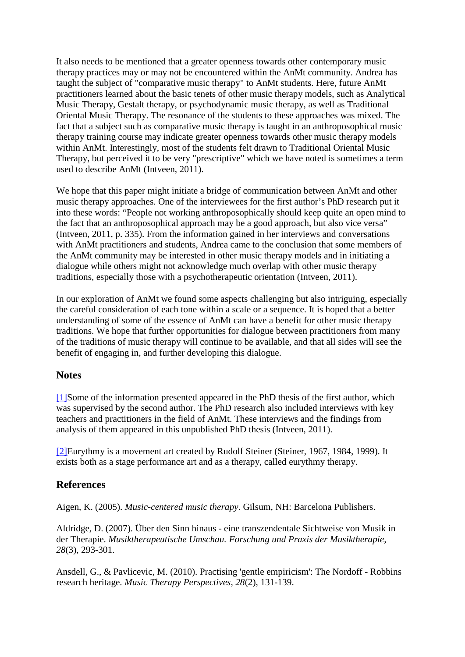It also needs to be mentioned that a greater openness towards other contemporary music therapy practices may or may not be encountered within the AnMt community. Andrea has taught the subject of "comparative music therapy" to AnMt students. Here, future AnMt practitioners learned about the basic tenets of other music therapy models, such as Analytical Music Therapy, Gestalt therapy, or psychodynamic music therapy, as well as Traditional Oriental Music Therapy. The resonance of the students to these approaches was mixed. The fact that a subject such as comparative music therapy is taught in an anthroposophical music therapy training course may indicate greater openness towards other music therapy models within AnMt. Interestingly, most of the students felt drawn to Traditional Oriental Music Therapy, but perceived it to be very "prescriptive" which we have noted is sometimes a term used to describe AnMt (Intveen, 2011).

We hope that this paper might initiate a bridge of communication between AnMt and other music therapy approaches. One of the interviewees for the first author's PhD research put it into these words: "People not working anthroposophically should keep quite an open mind to the fact that an anthroposophical approach may be a good approach, but also vice versa" (Intveen, 2011, p. 335). From the information gained in her interviews and conversations with AnMt practitioners and students, Andrea came to the conclusion that some members of the AnMt community may be interested in other music therapy models and in initiating a dialogue while others might not acknowledge much overlap with other music therapy traditions, especially those with a psychotherapeutic orientation (Intveen, 2011).

In our exploration of AnMt we found some aspects challenging but also intriguing, especially the careful consideration of each tone within a scale or a sequence. It is hoped that a better understanding of some of the essence of AnMt can have a benefit for other music therapy traditions. We hope that further opportunities for dialogue between practitioners from many of the traditions of music therapy will continue to be available, and that all sides will see the benefit of engaging in, and further developing this dialogue.

#### **Notes**

[\[1\]S](https://normt.uib.no/index.php/voices/article/view/646/548%231)ome of the information presented appeared in the PhD thesis of the first author, which was supervised by the second author. The PhD research also included interviews with key teachers and practitioners in the field of AnMt. These interviews and the findings from analysis of them appeared in this unpublished PhD thesis (Intveen, 2011).

[\[2\]E](https://normt.uib.no/index.php/voices/article/view/646/548%232)urythmy is a movement art created by Rudolf Steiner (Steiner, 1967, 1984, 1999). It exists both as a stage performance art and as a therapy, called eurythmy therapy.

#### **References**

Aigen, K. (2005). *Music-centered music therapy*. Gilsum, NH: Barcelona Publishers.

Aldridge, D. (2007). Über den Sinn hinaus - eine transzendentale Sichtweise von Musik in der Therapie. *Musiktherapeutische Umschau. Forschung und Praxis der Musiktherapie, 28*(3), 293-301.

Ansdell, G., & Pavlicevic, M. (2010). Practising 'gentle empiricism': The Nordoff - Robbins research heritage. *Music Therapy Perspectives, 28*(2), 131-139.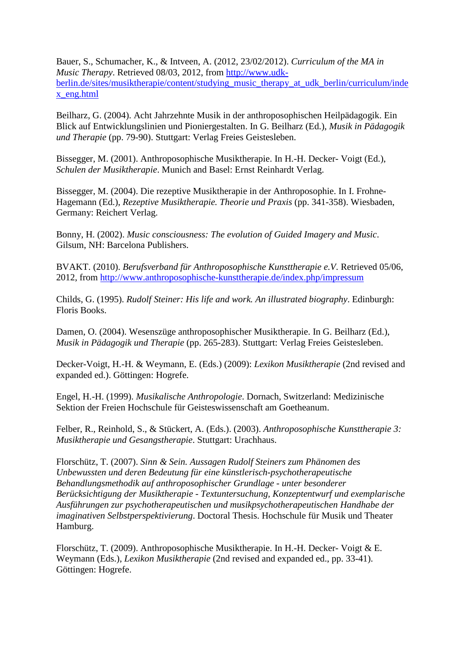Bauer, S., Schumacher, K., & Intveen, A. (2012, 23/02/2012). *Curriculum of the MA in Music Therapy*. Retrieved 08/03, 2012, from [http://www.udk](http://www.udk-berlin.de/sites/musiktherapie/content/studying_music_therapy_at_udk_berlin/curriculum/index_eng.html)[berlin.de/sites/musiktherapie/content/studying\\_music\\_therapy\\_at\\_udk\\_berlin/curriculum/inde](http://www.udk-berlin.de/sites/musiktherapie/content/studying_music_therapy_at_udk_berlin/curriculum/index_eng.html) [x\\_eng.html](http://www.udk-berlin.de/sites/musiktherapie/content/studying_music_therapy_at_udk_berlin/curriculum/index_eng.html)

Beilharz, G. (2004). Acht Jahrzehnte Musik in der anthroposophischen Heilpädagogik. Ein Blick auf Entwicklungslinien und Pioniergestalten. In G. Beilharz (Ed.), *Musik in Pädagogik und Therapie* (pp. 79-90). Stuttgart: Verlag Freies Geistesleben.

Bissegger, M. (2001). Anthroposophische Musiktherapie. In H.-H. Decker- Voigt (Ed.), *Schulen der Musiktherapie*. Munich and Basel: Ernst Reinhardt Verlag.

Bissegger, M. (2004). Die rezeptive Musiktherapie in der Anthroposophie. In I. Frohne-Hagemann (Ed.), *Rezeptive Musiktherapie. Theorie und Praxis* (pp. 341-358). Wiesbaden, Germany: Reichert Verlag.

Bonny, H. (2002). *Music consciousness: The evolution of Guided Imagery and Music*. Gilsum, NH: Barcelona Publishers.

BVAKT. (2010). *Berufsverband für Anthroposophische Kunsttherapie e.V*. Retrieved 05/06, 2012, from<http://www.anthroposophische-kunsttherapie.de/index.php/impressum>

Childs, G. (1995). *Rudolf Steiner: His life and work. An illustrated biography*. Edinburgh: Floris Books.

Damen, O. (2004). Wesenszüge anthroposophischer Musiktherapie. In G. Beilharz (Ed.), *Musik in Pädagogik und Therapie* (pp. 265-283). Stuttgart: Verlag Freies Geistesleben.

Decker-Voigt, H.-H. & Weymann, E. (Eds.) (2009): *Lexikon Musiktherapie* (2nd revised and expanded ed.). Göttingen: Hogrefe.

Engel, H.-H. (1999). *Musikalische Anthropologie*. Dornach, Switzerland: Medizinische Sektion der Freien Hochschule für Geisteswissenschaft am Goetheanum.

Felber, R., Reinhold, S., & Stückert, A. (Eds.). (2003). *Anthroposophische Kunsttherapie 3: Musiktherapie und Gesangstherapie*. Stuttgart: Urachhaus.

Florschütz, T. (2007). *Sinn & Sein. Aussagen Rudolf Steiners zum Phänomen des Unbewussten und deren Bedeutung für eine künstlerisch-psychotherapeutische Behandlungsmethodik auf anthroposophischer Grundlage - unter besonderer Berücksichtigung der Musiktherapie - Textuntersuchung, Konzeptentwurf und exemplarische Ausführungen zur psychotherapeutischen und musikpsychotherapeutischen Handhabe der imaginativen Selbstperspektivierung*. Doctoral Thesis. Hochschule für Musik und Theater Hamburg.

Florschütz, T. (2009). Anthroposophische Musiktherapie. In H.-H. Decker- Voigt & E. Weymann (Eds.), *Lexikon Musiktherapie* (2nd revised and expanded ed., pp. 33-41). Göttingen: Hogrefe.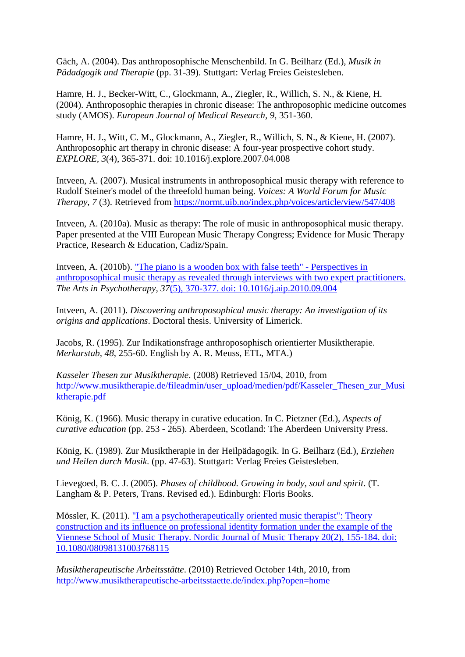Gäch, A. (2004). Das anthroposophische Menschenbild. In G. Beilharz (Ed.), *Musik in Pädadgogik und Therapie* (pp. 31-39). Stuttgart: Verlag Freies Geistesleben.

Hamre, H. J., Becker-Witt, C., Glockmann, A., Ziegler, R., Willich, S. N., & Kiene, H. (2004). Anthroposophic therapies in chronic disease: The anthroposophic medicine outcomes study (AMOS). *European Journal of Medical Research, 9*, 351-360.

Hamre, H. J., Witt, C. M., Glockmann, A., Ziegler, R., Willich, S. N., & Kiene, H. (2007). Anthroposophic art therapy in chronic disease: A four-year prospective cohort study. *EXPLORE, 3*(4), 365-371. doi: 10.1016/j.explore.2007.04.008

Intveen, A. (2007). Musical instruments in anthroposophical music therapy with reference to Rudolf Steiner's model of the threefold human being. *Voices: A World Forum for Music Therapy, 7* (3). Retrieved from<https://normt.uib.no/index.php/voices/article/view/547/408>

Intveen, A. (2010a). Music as therapy: The role of music in anthroposophical music therapy. Paper presented at the VIII European Music Therapy Congress; Evidence for Music Therapy Practice, Research & Education, Cadiz/Spain.

Intveen, A. (2010b). ["The piano is a wooden box with false teeth" -](http://dx.doi.org/10.1016/j.aip.2010.09.004) Perspectives in [anthroposophical music therapy as revealed through interviews with two expert practitioners.](http://dx.doi.org/10.1016/j.aip.2010.09.004)  *The Arts in Psychotherapy, 37*[\(5\), 370-377. doi: 10.1016/j.aip.2010.09.004](http://dx.doi.org/10.1016/j.aip.2010.09.004)

Intveen, A. (2011). *Discovering anthroposophical music therapy: An investigation of its origins and applications*. Doctoral thesis. University of Limerick.

Jacobs, R. (1995). Zur Indikationsfrage anthroposophisch orientierter Musiktherapie. *Merkurstab, 48*, 255-60. English by A. R. Meuss, ETL, MTA.)

*Kasseler Thesen zur Musiktherapie*. (2008) Retrieved 15/04, 2010, from [http://www.musiktherapie.de/fileadmin/user\\_upload/medien/pdf/Kasseler\\_Thesen\\_zur\\_Musi](http://www.musiktherapie.de/fileadmin/user_upload/medien/pdf/Kasseler_Thesen_zur_Musiktherapie.pdf) [ktherapie.pdf](http://www.musiktherapie.de/fileadmin/user_upload/medien/pdf/Kasseler_Thesen_zur_Musiktherapie.pdf)

König, K. (1966). Music therapy in curative education. In C. Pietzner (Ed.), *Aspects of curative education* (pp. 253 - 265). Aberdeen, Scotland: The Aberdeen University Press.

König, K. (1989). Zur Musiktherapie in der Heilpädagogik. In G. Beilharz (Ed.), *Erziehen und Heilen durch Musik*. (pp. 47-63). Stuttgart: Verlag Freies Geistesleben.

Lievegoed, B. C. J. (2005). *Phases of childhood. Growing in body, soul and spirit*. (T. Langham & P. Peters, Trans. Revised ed.). Edinburgh: Floris Books.

Mössler, K. (2011). ["I am a psychotherapeutically oriented music](http://dx.doi.org/10.1080/08098131003768115) therapist": Theory [construction and its influence on professional identity formation under the example of the](http://dx.doi.org/10.1080/08098131003768115)  [Viennese School of Music Therapy. Nordic Journal of Music Therapy 20\(2\), 155-184. doi:](http://dx.doi.org/10.1080/08098131003768115)  [10.1080/08098131003768115](http://dx.doi.org/10.1080/08098131003768115)

*Musiktherapeutische Arbeitsstätte*. (2010) Retrieved October 14th, 2010, from <http://www.musiktherapeutische-arbeitsstaette.de/index.php?open=home>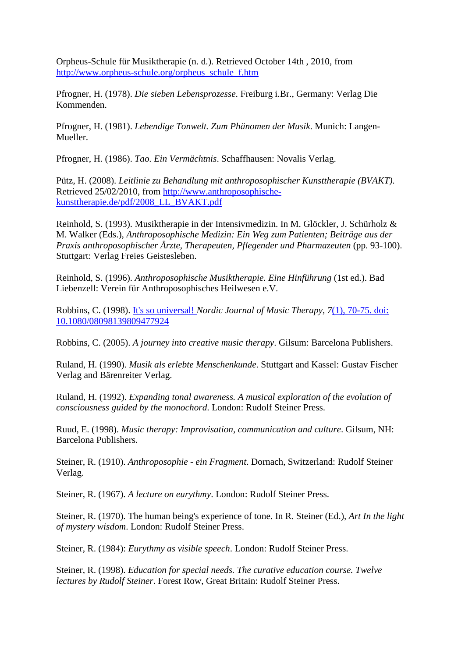Orpheus-Schule für Musiktherapie (n. d.). Retrieved October 14th , 2010, from [http://www.orpheus-schule.org/orpheus\\_schule\\_f.htm](http://www.orpheus-schule.org/orpheus_schule_f.htm)

Pfrogner, H. (1978). *Die sieben Lebensprozesse*. Freiburg i.Br., Germany: Verlag Die Kommenden.

Pfrogner, H. (1981). *Lebendige Tonwelt. Zum Phänomen der Musik*. Munich: Langen-Mueller.

Pfrogner, H. (1986). *Tao. Ein Vermächtnis*. Schaffhausen: Novalis Verlag.

Pütz, H. (2008). *Leitlinie zu Behandlung mit anthroposophischer Kunsttherapie (BVAKT)*. Retrieved 25/02/2010, from [http://www.anthroposophische](http://www.anthroposophische-kunsttherapie.de/pdf/2008_LL_BVAKT.pdf)[kunsttherapie.de/pdf/2008\\_LL\\_BVAKT.pdf](http://www.anthroposophische-kunsttherapie.de/pdf/2008_LL_BVAKT.pdf)

Reinhold, S. (1993). Musiktherapie in der Intensivmedizin. In M. Glöckler, J. Schürholz & M. Walker (Eds.), *Anthroposophische Medizin: Ein Weg zum Patienten; Beiträge aus der Praxis anthroposophischer Ärzte, Therapeuten, Pflegender und Pharmazeuten* (pp. 93-100). Stuttgart: Verlag Freies Geistesleben.

Reinhold, S. (1996). *Anthroposophische Musiktherapie. Eine Hinführung* (1st ed.). Bad Liebenzell: Verein für Anthroposophisches Heilwesen e.V.

Robbins, C. (1998). It's so universal! *[Nordic Journal of Music Therapy, 7](http://dx.doi.org/10.1080/08098139809477924)*(1), 70-75. doi: [10.1080/08098139809477924](http://dx.doi.org/10.1080/08098139809477924)

Robbins, C. (2005). *A journey into creative music therapy*. Gilsum: Barcelona Publishers.

Ruland, H. (1990). *Musik als erlebte Menschenkunde*. Stuttgart and Kassel: Gustav Fischer Verlag and Bärenreiter Verlag.

Ruland, H. (1992). *Expanding tonal awareness. A musical exploration of the evolution of consciousness guided by the monochord*. London: Rudolf Steiner Press.

Ruud, E. (1998). *Music therapy: Improvisation, communication and culture*. Gilsum, NH: Barcelona Publishers.

Steiner, R. (1910). *Anthroposophie - ein Fragment*. Dornach, Switzerland: Rudolf Steiner Verlag.

Steiner, R. (1967). *A lecture on eurythmy*. London: Rudolf Steiner Press.

Steiner, R. (1970). The human being's experience of tone. In R. Steiner (Ed.), *Art In the light of mystery wisdom*. London: Rudolf Steiner Press.

Steiner, R. (1984): *Eurythmy as visible speech*. London: Rudolf Steiner Press.

Steiner, R. (1998). *Education for special needs. The curative education course. Twelve lectures by Rudolf Steiner*. Forest Row, Great Britain: Rudolf Steiner Press.